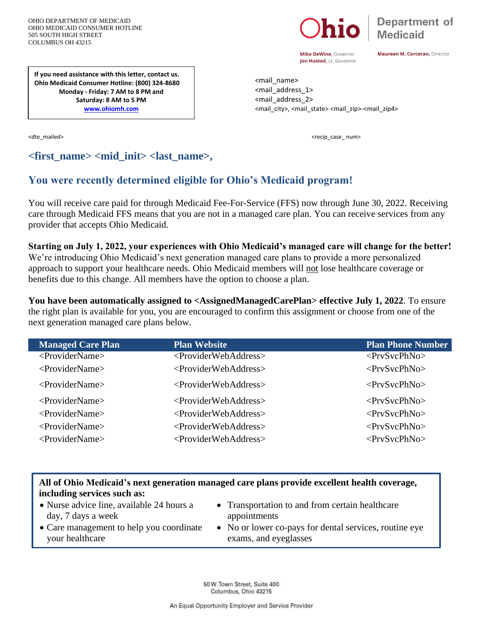OHIO DEPARTMENT OF MEDICAID OHIO MEDICAID CONSUMER HOTLINE 505 SOUTH HIGH STREET COLUMBUS OH 43215



Mike DeWine, Governor Jon Husted, Lt. Governor Maureen M. Corcoran, Director

<mail\_name> <mail\_address\_1> <mail\_address\_2> <mail\_city>, <mail\_state> <mail\_zip>-<mail\_zip4>

<dte\_mailed> <recip\_case\_ num>

**If you need assistance with this letter, contact us. Ohio Medicaid Consumer Hotline: (800) 324-8680 Monday - Friday: 7 AM to 8 PM and Saturday: 8 AM to 5 PM [www.ohiomh.com](http://www.ohiomh.com/)**

# **<first\_name> <mid\_init> <last\_name>,**

# **You were recently determined eligible for Ohio's Medicaid program!**

You will receive care paid for through Medicaid Fee-For-Service (FFS) now through June 30, 2022. Receiving care through Medicaid FFS means that you are not in a managed care plan. You can receive services from any provider that accepts Ohio Medicaid.

**Starting on July 1, 2022, your experiences with Ohio Medicaid's managed care will change for the better!**  We're introducing Ohio Medicaid's next generation managed care plans to provide a more personalized approach to support your healthcare needs. Ohio Medicaid members will not lose healthcare coverage or benefits due to this change. All members have the option to choose a plan.

**You have been automatically assigned to <AssignedManagedCarePlan> effective July 1, 2022**. To ensure the right plan is available for you, you are encouraged to confirm this assignment or choose from one of the next generation managed care plans below.

| <b>Managed Care Plan</b>         | <b>Plan Website</b>                       | <b>Plan Phone Number</b> |
|----------------------------------|-------------------------------------------|--------------------------|
| <providername></providername>    | <providerwebaddress></providerwebaddress> | $<$ PrvSvcPhNo>          |
| <providername></providername>    | <providerwebaddress></providerwebaddress> | $<$ PrvSvcPhNo>          |
| $\langle$ ProviderName $\rangle$ | <providerwebaddress></providerwebaddress> | $<$ PrvSvcPhNo>          |
| <providername></providername>    | $\langle$ ProviderWebAddress $>$          | $\langle$ PrvSvcPhNo>    |
| $\langle$ ProviderName $\rangle$ | <providerwebaddress></providerwebaddress> | $\langle$ PrvSvcPhNo>    |
| <providername></providername>    | <providerwebaddress></providerwebaddress> | $<$ PrvSvcPhNo>          |
| $\langle$ ProviderName $\rangle$ | <providerwebaddress></providerwebaddress> | $<$ PrvSvcPhNo>          |

# **All of Ohio Medicaid's next generation managed care plans provide excellent health coverage, including services such as:**

- Nurse advice line, available 24 hours a day, 7 days a week
- Transportation to and from certain healthcare appointments
- Care management to help you coordinate your healthcare
- No or lower co-pays for dental services, routine eye exams, and eyeglasses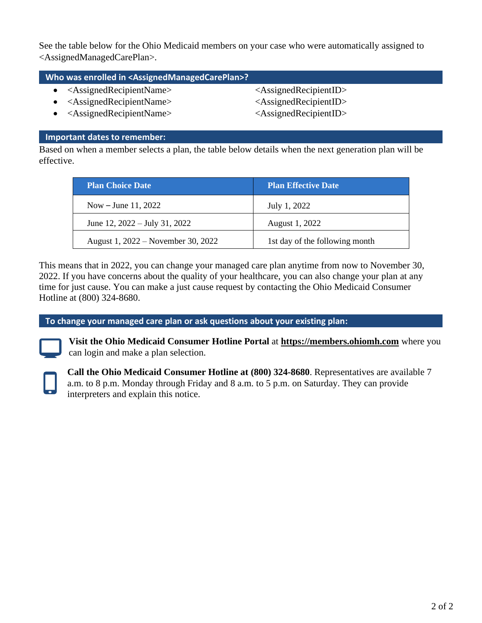See the table below for the Ohio Medicaid members on your case who were automatically assigned to <AssignedManagedCarePlan>.

## **Who was enrolled in <AssignedManagedCarePlan>?**

- <AssignedRecipientName> <AssignedRecipientID>
- <AssignedRecipientName> <AssignedRecipientID>
- <AssignedRecipientName> <AssignedRecipientID>

## **Important dates to remember:**

Based on when a member selects a plan, the table below details when the next generation plan will be effective.

| <b>Plan Choice Date</b>                 | <b>Plan Effective Date</b>     |
|-----------------------------------------|--------------------------------|
| Now – June 11, 2022                     | July 1, 2022                   |
| June 12, $2022 - \text{July } 31, 2022$ | August 1, 2022                 |
| August 1, 2022 – November 30, 2022      | 1st day of the following month |

This means that in 2022, you can change your managed care plan anytime from now to November 30, 2022. If you have concerns about the quality of your healthcare, you can also change your plan at any time for just cause. You can make a just cause request by contacting the Ohio Medicaid Consumer Hotline at (800) 324-8680.

**To change your managed care plan or ask questions about your existing plan:** 



**Visit the Ohio Medicaid Consumer Hotline Portal** at **[https://members.ohiomh.com](https://members.ohiomh.com/)** where you can login and make a plan selection.



**Call the Ohio Medicaid Consumer Hotline at (800) 324-8680**. Representatives are available 7 a.m. to 8 p.m. Monday through Friday and 8 a.m. to 5 p.m. on Saturday. They can provide interpreters and explain this notice.